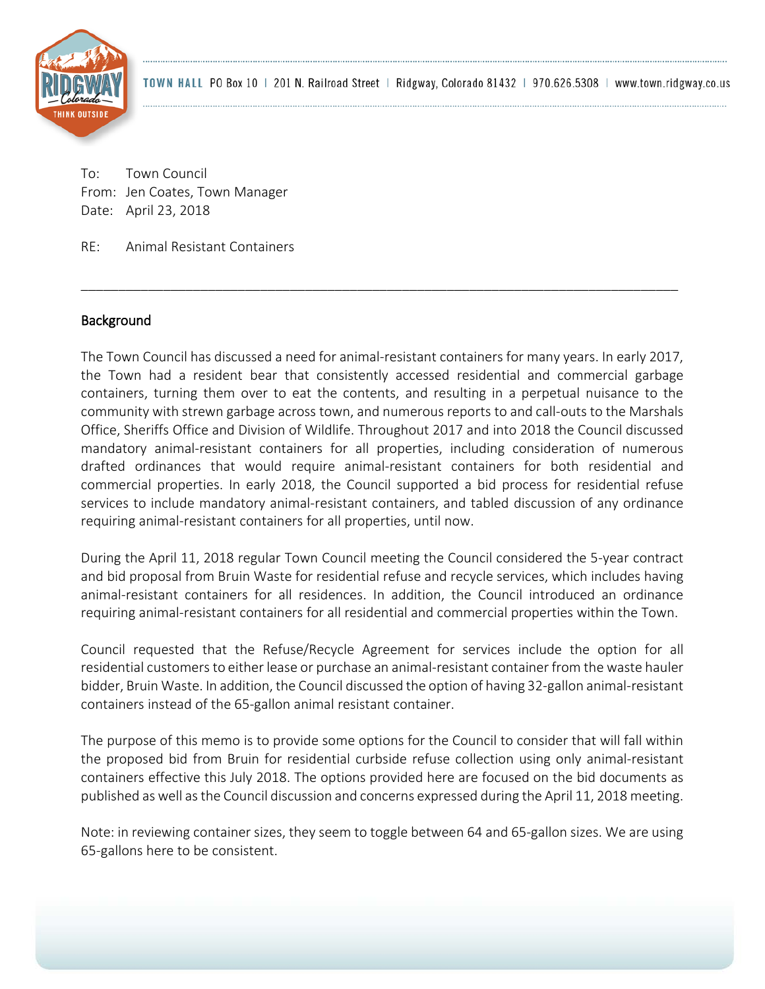

To: Town Council From: Jen Coates, Town Manager Date: April 23, 2018

RE: Animal Resistant Containers

## Background

The Town Council has discussed a need for animal-resistant containers for many years. In early 2017, the Town had a resident bear that consistently accessed residential and commercial garbage containers, turning them over to eat the contents, and resulting in a perpetual nuisance to the community with strewn garbage across town, and numerous reports to and call-outs to the Marshals Office, Sheriffs Office and Division of Wildlife. Throughout 2017 and into 2018 the Council discussed mandatory animal-resistant containers for all properties, including consideration of numerous drafted ordinances that would require animal-resistant containers for both residential and commercial properties. In early 2018, the Council supported a bid process for residential refuse services to include mandatory animal-resistant containers, and tabled discussion of any ordinance requiring animal-resistant containers for all properties, until now.

\_\_\_\_\_\_\_\_\_\_\_\_\_\_\_\_\_\_\_\_\_\_\_\_\_\_\_\_\_\_\_\_\_\_\_\_\_\_\_\_\_\_\_\_\_\_\_\_\_\_\_\_\_\_\_\_\_\_\_\_\_\_\_\_\_\_\_\_\_\_\_\_\_\_\_\_\_\_\_\_

During the April 11, 2018 regular Town Council meeting the Council considered the 5-year contract and bid proposal from Bruin Waste for residential refuse and recycle services, which includes having animal-resistant containers for all residences. In addition, the Council introduced an ordinance requiring animal-resistant containers for all residential and commercial properties within the Town.

Council requested that the Refuse/Recycle Agreement for services include the option for all residential customers to either lease or purchase an animal-resistant container from the waste hauler bidder, Bruin Waste. In addition, the Council discussed the option of having 32-gallon animal-resistant containers instead of the 65-gallon animal resistant container.

The purpose of this memo is to provide some options for the Council to consider that will fall within the proposed bid from Bruin for residential curbside refuse collection using only animal-resistant containers effective this July 2018. The options provided here are focused on the bid documents as published as well as the Council discussion and concerns expressed during the April 11, 2018 meeting.

Note: in reviewing container sizes, they seem to toggle between 64 and 65-gallon sizes. We are using 65-gallons here to be consistent.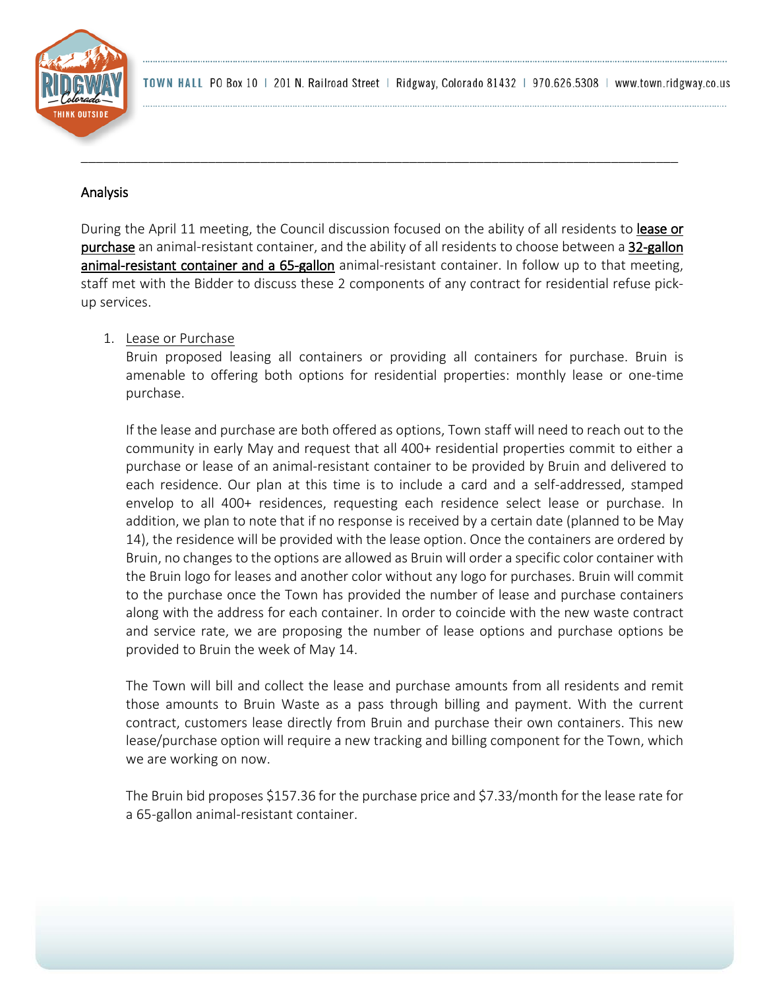

### Analysis

During the April 11 meeting, the Council discussion focused on the ability of all residents to lease or purchase an animal-resistant container, and the ability of all residents to choose between a 32-gallon animal-resistant container and a 65-gallon animal-resistant container. In follow up to that meeting, staff met with the Bidder to discuss these 2 components of any contract for residential refuse pickup services.

\_\_\_\_\_\_\_\_\_\_\_\_\_\_\_\_\_\_\_\_\_\_\_\_\_\_\_\_\_\_\_\_\_\_\_\_\_\_\_\_\_\_\_\_\_\_\_\_\_\_\_\_\_\_\_\_\_\_\_\_\_\_\_\_\_\_\_\_\_\_\_\_\_\_\_\_\_\_\_\_

## 1. Lease or Purchase

Bruin proposed leasing all containers or providing all containers for purchase. Bruin is amenable to offering both options for residential properties: monthly lease or one-time purchase.

If the lease and purchase are both offered as options, Town staff will need to reach out to the community in early May and request that all 400+ residential properties commit to either a purchase or lease of an animal-resistant container to be provided by Bruin and delivered to each residence. Our plan at this time is to include a card and a self-addressed, stamped envelop to all 400+ residences, requesting each residence select lease or purchase. In addition, we plan to note that if no response is received by a certain date (planned to be May 14), the residence will be provided with the lease option. Once the containers are ordered by Bruin, no changes to the options are allowed as Bruin will order a specific color container with the Bruin logo for leases and another color without any logo for purchases. Bruin will commit to the purchase once the Town has provided the number of lease and purchase containers along with the address for each container. In order to coincide with the new waste contract and service rate, we are proposing the number of lease options and purchase options be provided to Bruin the week of May 14.

The Town will bill and collect the lease and purchase amounts from all residents and remit those amounts to Bruin Waste as a pass through billing and payment. With the current contract, customers lease directly from Bruin and purchase their own containers. This new lease/purchase option will require a new tracking and billing component for the Town, which we are working on now.

The Bruin bid proposes \$157.36 for the purchase price and \$7.33/month for the lease rate for a 65-gallon animal-resistant container.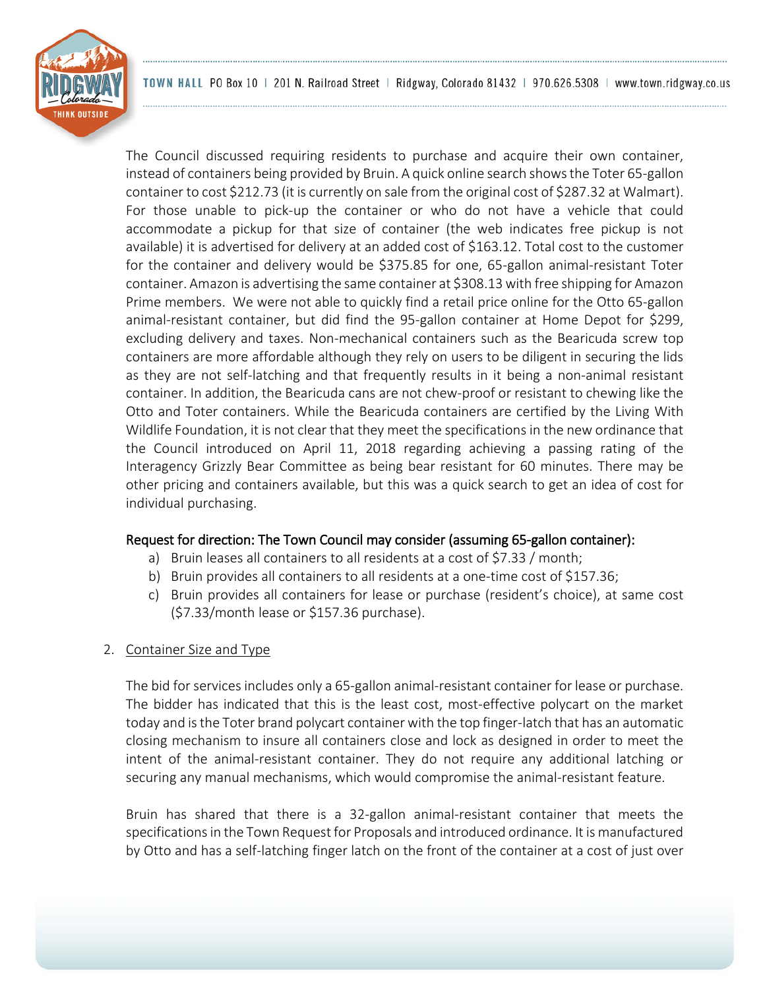

The Council discussed requiring residents to purchase and acquire their own container, instead of containers being provided by Bruin. A quick online search shows the Toter 65-gallon container to cost \$212.73 (it is currently on sale from the original cost of \$287.32 at Walmart). For those unable to pick-up the container or who do not have a vehicle that could accommodate a pickup for that size of container (the web indicates free pickup is not available) it is advertised for delivery at an added cost of \$163.12. Total cost to the customer for the container and delivery would be \$375.85 for one, 65-gallon animal-resistant Toter container. Amazon is advertising the same container at \$308.13 with free shipping for Amazon Prime members. We were not able to quickly find a retail price online for the Otto 65-gallon animal-resistant container, but did find the 95-gallon container at Home Depot for \$299, excluding delivery and taxes. Non-mechanical containers such as the Bearicuda screw top containers are more affordable although they rely on users to be diligent in securing the lids as they are not self-latching and that frequently results in it being a non-animal resistant container. In addition, the Bearicuda cans are not chew-proof or resistant to chewing like the Otto and Toter containers. While the Bearicuda containers are certified by the Living With Wildlife Foundation, it is not clear that they meet the specifications in the new ordinance that the Council introduced on April 11, 2018 regarding achieving a passing rating of the Interagency Grizzly Bear Committee as being bear resistant for 60 minutes. There may be other pricing and containers available, but this was a quick search to get an idea of cost for individual purchasing.

#### Request for direction: The Town Council may consider (assuming 65-gallon container):

- a) Bruin leases all containers to all residents at a cost of \$7.33 / month;
- b) Bruin provides all containers to all residents at a one-time cost of \$157.36;
- c) Bruin provides all containers for lease or purchase (resident's choice), at same cost (\$7.33/month lease or \$157.36 purchase).
- 2. Container Size and Type

The bid for services includes only a 65-gallon animal-resistant container for lease or purchase. The bidder has indicated that this is the least cost, most-effective polycart on the market today and is the Toter brand polycart container with the top finger-latch that has an automatic closing mechanism to insure all containers close and lock as designed in order to meet the intent of the animal-resistant container. They do not require any additional latching or securing any manual mechanisms, which would compromise the animal-resistant feature.

Bruin has shared that there is a 32-gallon animal-resistant container that meets the specifications in the Town Request for Proposals and introduced ordinance. It is manufactured by Otto and has a self-latching finger latch on the front of the container at a cost of just over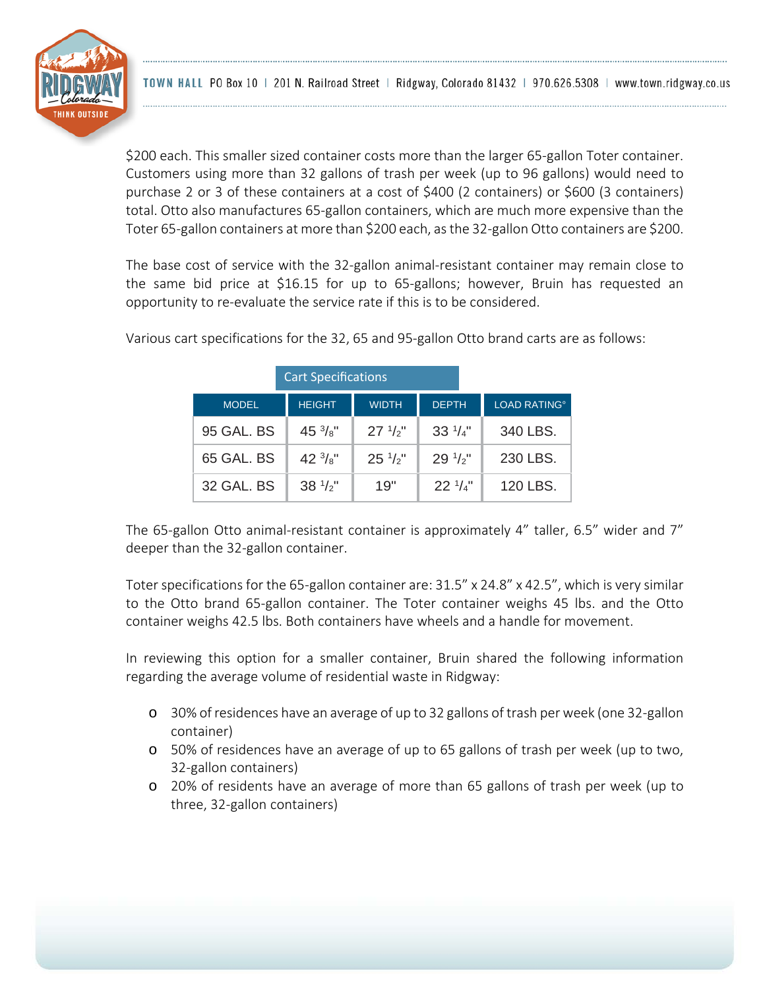

\$200 each. This smaller sized container costs more than the larger 65-gallon Toter container. Customers using more than 32 gallons of trash per week (up to 96 gallons) would need to purchase 2 or 3 of these containers at a cost of \$400 (2 containers) or \$600 (3 containers) total. Otto also manufactures 65-gallon containers, which are much more expensive than the Toter 65-gallon containers at more than \$200 each, as the 32-gallon Otto containers are \$200.

The base cost of service with the 32-gallon animal-resistant container may remain close to the same bid price at \$16.15 for up to 65-gallons; however, Bruin has requested an opportunity to re-evaluate the service rate if this is to be considered.

| <b>Cart Specifications</b> |                   |                  |                 |                                |
|----------------------------|-------------------|------------------|-----------------|--------------------------------|
| <b>MODEL</b>               | <b>HEIGHT</b>     | <b>WIDTH</b>     | <b>DEPTH</b>    | <b>LOAD RATING<sup>®</sup></b> |
| 95 GAL, BS                 | $45\frac{3}{8}$ " | $27 \frac{1}{2}$ | $33^{1/4"$      | 340 LBS.                       |
| 65 GAL, BS                 | $42\frac{3}{8}$ " | $25\frac{1}{2}$  | $29\frac{1}{2}$ | 230 LBS.                       |
| 32 GAL, BS                 | $38 \frac{1}{2}$  | 19"              | $22^{1/4"}$     | 120 LBS.                       |

Various cart specifications for the 32, 65 and 95-gallon Otto brand carts are as follows:

The 65-gallon Otto animal-resistant container is approximately 4" taller, 6.5" wider and 7" deeper than the 32-gallon container.

Toter specifications for the 65-gallon container are: 31.5" x 24.8" x 42.5", which is very similar to the Otto brand 65-gallon container. The Toter container weighs 45 lbs. and the Otto container weighs 42.5 lbs. Both containers have wheels and a handle for movement.

In reviewing this option for a smaller container, Bruin shared the following information regarding the average volume of residential waste in Ridgway:

- o 30% of residences have an average of up to 32 gallons of trash per week (one 32-gallon container)
- o 50% of residences have an average of up to 65 gallons of trash per week (up to two, 32-gallon containers)
- o 20% of residents have an average of more than 65 gallons of trash per week (up to three, 32-gallon containers)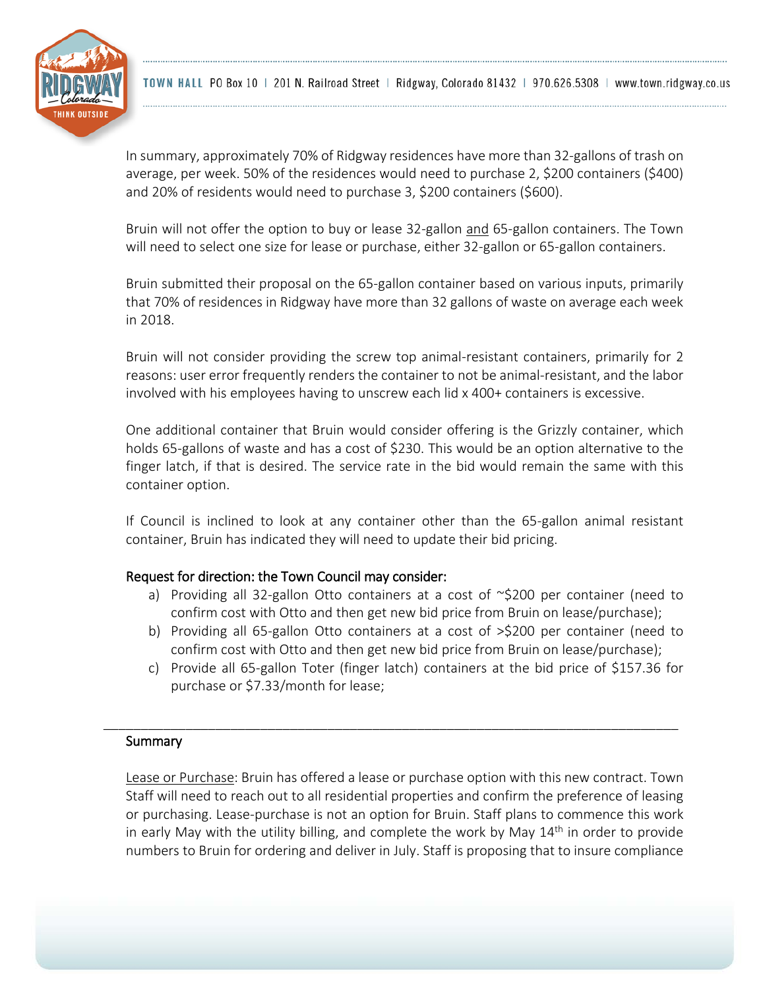

In summary, approximately 70% of Ridgway residences have more than 32-gallons of trash on average, per week. 50% of the residences would need to purchase 2, \$200 containers (\$400) and 20% of residents would need to purchase 3, \$200 containers (\$600).

Bruin will not offer the option to buy or lease 32-gallon and 65-gallon containers. The Town will need to select one size for lease or purchase, either 32-gallon or 65-gallon containers.

Bruin submitted their proposal on the 65-gallon container based on various inputs, primarily that 70% of residences in Ridgway have more than 32 gallons of waste on average each week in 2018.

Bruin will not consider providing the screw top animal-resistant containers, primarily for 2 reasons: user error frequently renders the container to not be animal-resistant, and the labor involved with his employees having to unscrew each lid x 400+ containers is excessive.

One additional container that Bruin would consider offering is the Grizzly container, which holds 65-gallons of waste and has a cost of \$230. This would be an option alternative to the finger latch, if that is desired. The service rate in the bid would remain the same with this container option.

If Council is inclined to look at any container other than the 65-gallon animal resistant container, Bruin has indicated they will need to update their bid pricing.

#### Request for direction: the Town Council may consider:

- a) Providing all 32-gallon Otto containers at a cost of  $\sim$ \$200 per container (need to confirm cost with Otto and then get new bid price from Bruin on lease/purchase);
- b) Providing all 65-gallon Otto containers at a cost of >\$200 per container (need to confirm cost with Otto and then get new bid price from Bruin on lease/purchase);
- c) Provide all 65-gallon Toter (finger latch) containers at the bid price of \$157.36 for purchase or \$7.33/month for lease;

# Summary

Lease or Purchase: Bruin has offered a lease or purchase option with this new contract. Town Staff will need to reach out to all residential properties and confirm the preference of leasing or purchasing. Lease-purchase is not an option for Bruin. Staff plans to commence this work in early May with the utility billing, and complete the work by May  $14<sup>th</sup>$  in order to provide numbers to Bruin for ordering and deliver in July. Staff is proposing that to insure compliance

\_\_\_\_\_\_\_\_\_\_\_\_\_\_\_\_\_\_\_\_\_\_\_\_\_\_\_\_\_\_\_\_\_\_\_\_\_\_\_\_\_\_\_\_\_\_\_\_\_\_\_\_\_\_\_\_\_\_\_\_\_\_\_\_\_\_\_\_\_\_\_\_\_\_\_\_\_